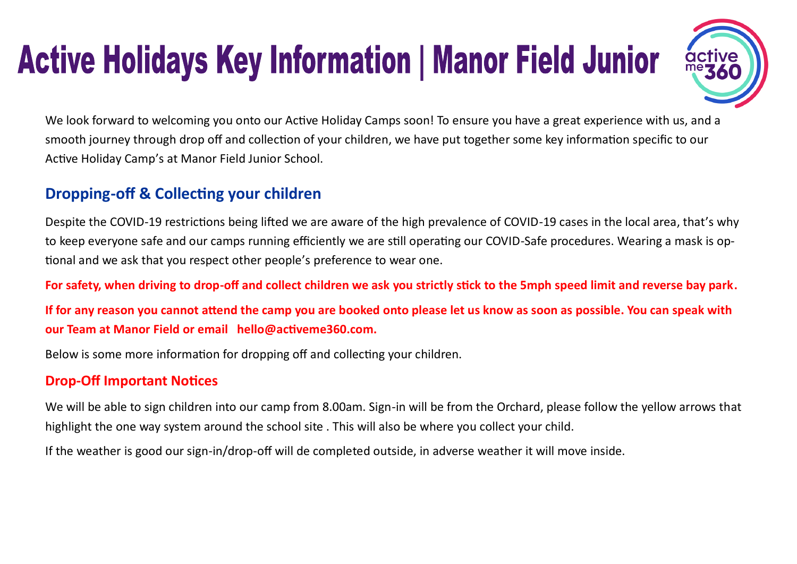# **Active Holidays Key Information | Manor Field Junior**



We look forward to welcoming you onto our Active Holiday Camps soon! To ensure you have a great experience with us, and a smooth journey through drop off and collection of your children, we have put together some key information specific to our Active Holiday Camp's at Manor Field Junior School.

## **Dropping-off & Collecting your children**

Despite the COVID-19 restrictions being lifted we are aware of the high prevalence of COVID-19 cases in the local area, that's why to keep everyone safe and our camps running efficiently we are still operating our COVID-Safe procedures. Wearing a mask is optional and we ask that you respect other people's preference to wear one.

**For safety, when driving to drop-off and collect children we ask you strictly stick to the 5mph speed limit and reverse bay park.**

**If for any reason you cannot attend the camp you are booked onto please let us know as soon as possible. You can speak with our Team at Manor Field or email hello@activeme360.com.**

Below is some more information for dropping off and collecting your children.

#### **Drop-Off Important Notices**

We will be able to sign children into our camp from 8.00am. Sign-in will be from the Orchard, please follow the yellow arrows that highlight the one way system around the school site . This will also be where you collect your child.

If the weather is good our sign-in/drop-off will de completed outside, in adverse weather it will move inside.